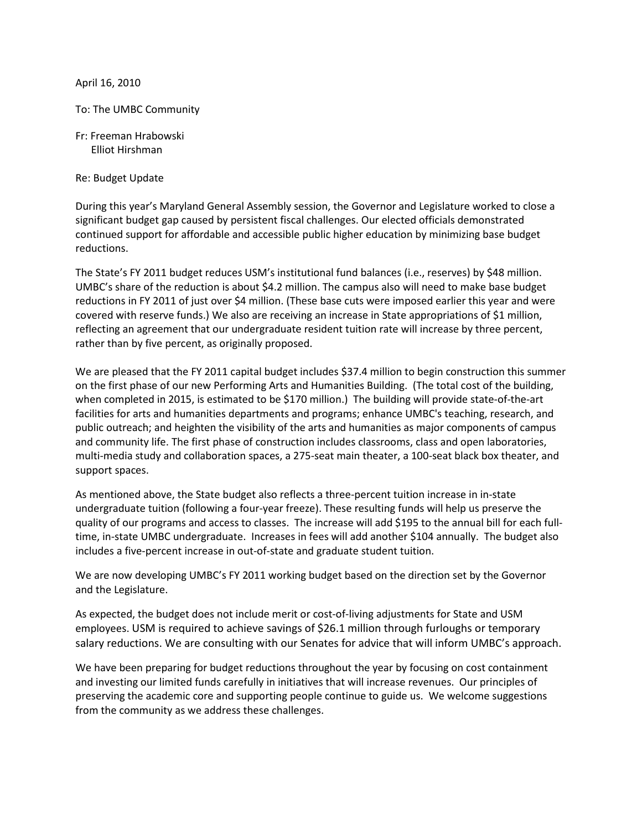April 16, 2010

To: The UMBC Community

Fr: Freeman Hrabowski Elliot Hirshman

Re: Budget Update

During this year's Maryland General Assembly session, the Governor and Legislature worked to close a significant budget gap caused by persistent fiscal challenges. Our elected officials demonstrated continued support for affordable and accessible public higher education by minimizing base budget reductions.

The State's FY 2011 budget reduces USM's institutional fund balances (i.e., reserves) by \$48 million. UMBC's share of the reduction is about \$4.2 million. The campus also will need to make base budget reductions in FY 2011 of just over \$4 million. (These base cuts were imposed earlier this year and were covered with reserve funds.) We also are receiving an increase in State appropriations of \$1 million, reflecting an agreement that our undergraduate resident tuition rate will increase by three percent, rather than by five percent, as originally proposed.

We are pleased that the FY 2011 capital budget includes \$37.4 million to begin construction this summer on the first phase of our new Performing Arts and Humanities Building. (The total cost of the building, when completed in 2015, is estimated to be \$170 million.) The building will provide state-of-the-art facilities for arts and humanities departments and programs; enhance UMBC's teaching, research, and public outreach; and heighten the visibility of the arts and humanities as major components of campus and community life. The first phase of construction includes classrooms, class and open laboratories, multi-media study and collaboration spaces, a 275-seat main theater, a 100-seat black box theater, and support spaces.

As mentioned above, the State budget also reflects a three-percent tuition increase in in-state undergraduate tuition (following a four-year freeze). These resulting funds will help us preserve the quality of our programs and access to classes. The increase will add \$195 to the annual bill for each fulltime, in-state UMBC undergraduate. Increases in fees will add another \$104 annually. The budget also includes a five-percent increase in out-of-state and graduate student tuition.

We are now developing UMBC's FY 2011 working budget based on the direction set by the Governor and the Legislature.

As expected, the budget does not include merit or cost-of-living adjustments for State and USM employees. USM is required to achieve savings of \$26.1 million through furloughs or temporary salary reductions. We are consulting with our Senates for advice that will inform UMBC's approach.

We have been preparing for budget reductions throughout the year by focusing on cost containment and investing our limited funds carefully in initiatives that will increase revenues. Our principles of preserving the academic core and supporting people continue to guide us. We welcome suggestions from the community as we address these challenges.